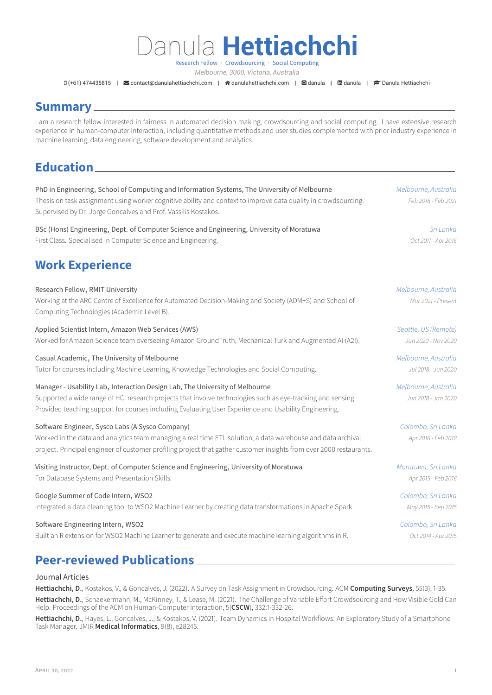# Danula **Hettiachchi**

Research Fellow · Crowdsourcing · Social Computing *Melbourne, 3000, Victoria, Australia*

D(+61) 474435815 | **S**z[contact@danulahettiachchi.com](mailto:contact@danulahettiachchi.com) | **#** [danulahettiachchi.com](http://danulahettiachchi.com) | **Q** [danula](https://www.linkedin.com/in/danula) | **D** danula | **P** [Danula Hettiachchi](https://scholar.google.com/citations?user=YaYP1cQAAAAJ&hl=en)

### **Summary**

I am a research fellow interested in fairness in automated decision making, crowdsourcing and social computing. I have extensive research experience in human-computer interaction, including quantitative methods and user studies complemented with prior industry experience in machine learning, data engineering, software development and analytics.

## **Education**

| PhD in Engineering, School of Computing and Information Systems, The University of Melbourne<br>Thesis on task assignment using worker cognitive ability and context to improve data quality in crowdsourcing.<br>Supervised by Dr. Jorge Goncalves and Prof. Vassilis Kostakos.                     | Melbourne, Australia<br>Feb 2018 - Feb 2021 |
|------------------------------------------------------------------------------------------------------------------------------------------------------------------------------------------------------------------------------------------------------------------------------------------------------|---------------------------------------------|
| BSc (Hons) Engineering, Dept. of Computer Science and Engineering, University of Moratuwa                                                                                                                                                                                                            | Sri Lanka                                   |
| First Class. Specialised in Computer Science and Engineering.                                                                                                                                                                                                                                        | Oct 2011 - Apr 2016                         |
| <b>Work Experience</b>                                                                                                                                                                                                                                                                               |                                             |
| Research Fellow, RMIT University<br>Working at the ARC Centre of Excellence for Automated Decision-Making and Society (ADM+S) and School of<br>Computing Technologies (Academic Level B).                                                                                                            | Melbourne, Australia<br>Mar 2021 - Present  |
| Applied Scientist Intern, Amazon Web Services (AWS)                                                                                                                                                                                                                                                  | Seattle, US (Remote)                        |
| Worked for Amazon Science team overseeing Amazon GroundTruth, Mechanical Turk and Augmented AI (A2I).                                                                                                                                                                                                | Jun 2020 - Nov 2020                         |
| Casual Academic, The University of Melbourne                                                                                                                                                                                                                                                         | Melbourne, Australia                        |
| Tutor for courses including Machine Learning, Knowledge Technologies and Social Computing.                                                                                                                                                                                                           | Jul 2018 - Jun 2020                         |
| Manager - Usability Lab, Interaction Design Lab, The University of Melbourne<br>Supported a wide range of HCI research projects that involve technologies such as eye-tracking and sensing.<br>Provided teaching support for courses including Evaluating User Experience and Usability Engineering. | Melbourne, Australia<br>Jun 2018 - Jan 2020 |
| Software Engineer, Sysco Labs (A Sysco Company)<br>Worked in the data and analytics team managing a real time ETL solution, a data warehouse and data archival<br>project. Principal engineer of customer profiling project that gather customer insights from over 2000 restaurants.                | Colombo, Sri Lanka<br>Apr 2016 - Feb 2018   |
| Visiting Instructor, Dept. of Computer Science and Engineering, University of Moratuwa                                                                                                                                                                                                               | Moratuwa, Sri Lanka                         |
| For Database Systems and Presentation Skills.                                                                                                                                                                                                                                                        | Apr 2015 - Feb 2016                         |
| Google Summer of Code Intern, WSO2                                                                                                                                                                                                                                                                   | Colombo, Sri Lanka                          |
| Integrated a data cleaning tool to WSO2 Machine Learner by creating data transformations in Apache Spark.                                                                                                                                                                                            | May 2015 - Sep 2015                         |
| Software Engineering Intern, WSO2                                                                                                                                                                                                                                                                    | Colombo, Sri Lanka                          |
| Built an R extension for WSO2 Machine Learner to generate and execute machine learning algorithms in R.                                                                                                                                                                                              | Oct 2014 - Apr 2015                         |
| <b>Peer-reviewed Publications.</b>                                                                                                                                                                                                                                                                   |                                             |

#### Journal Articles

**Hettiachchi, D.**, Kostakos, V., & Goncalves, J. (2022). A Survey on Task Assignment in Crowdsourcing. ACM **Computing Surveys**, 55(3), 1-35. **Hettiachchi, D.**, Schaekermann, M., McKinney, T., & Lease, M. (2021). The Challenge of Variable Effort Crowdsourcing and How Visible Gold Can Help. Proceedings of the ACM on Human-Computer Interaction, 5(**CSCW**), 332:1-332-26.

**Hettiachchi, D.**, Hayes, L., Goncalves, J., & Kostakos, V. (2021). Team Dynamics in Hospital Workflows: An Exploratory Study of a Smartphone Task Manager. JMIR **Medical Informatics**, 9(8), e28245.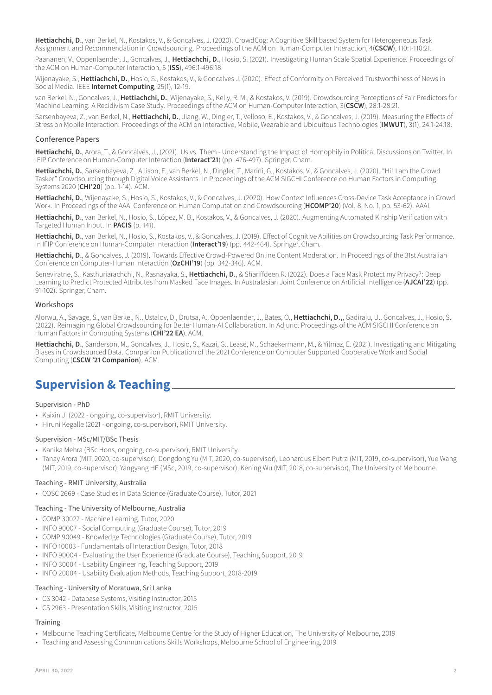**Hettiachchi, D.**, van Berkel, N., Kostakos, V., & Goncalves, J. (2020). CrowdCog: A Cognitive Skill based System for Heterogeneous Task Assignment and Recommendation in Crowdsourcing. Proceedings of the ACM on Human-Computer Interaction, 4(**CSCW**), 110:1-110:21.

Paananen, V., Oppenlaender, J., Goncalves, J., **Hettiachchi, D.**, Hosio, S. (2021). Investigating Human Scale Spatial Experience. Proceedings of the ACM on Human-Computer Interaction, 5 (**ISS**), 496:1-496:18.

Wijenayake, S., **Hettiachchi, D.**, Hosio, S., Kostakos, V., & Goncalves J. (2020). Effect of Conformity on Perceived Trustworthiness of News in Social Media. IEEE **Internet Computing**, 25(1), 12-19.

van Berkel, N., Goncalves, J., **Hettiachchi, D.**, Wijenayake, S., Kelly, R. M., & Kostakos, V. (2019). Crowdsourcing Perceptions of Fair Predictors for Machine Learning: A Recidivism Case Study. Proceedings of the ACM on Human-Computer Interaction, 3(**CSCW**), 28:1-28:21.

Sarsenbayeva, Z., van Berkel, N., **Hettiachchi, D.**, Jiang, W., Dingler, T., Velloso, E., Kostakos, V., & Goncalves, J. (2019). Measuring the Effects of Stress on Mobile Interaction. Proceedings of the ACM on Interactive, Mobile, Wearable and Ubiquitous Technologies (**IMWUT**), 3(1), 24:1-24:18.

#### Conference Papers

**Hettiachchi, D.**, Arora, T., & Goncalves, J., (2021). Us vs. Them - Understanding the Impact of Homophily in Political Discussions on Twitter. In IFIP Conference on Human-Computer Interaction (**Interact'21**) (pp. 476-497). Springer, Cham.

**Hettiachchi, D.**, Sarsenbayeva, Z., Allison, F., van Berkel, N., Dingler, T., Marini, G., Kostakos, V., & Goncalves, J. (2020). "Hi! I am the Crowd Tasker" Crowdsourcing through Digital Voice Assistants. In Proceedings of the ACM SIGCHI Conference on Human Factors in Computing Systems 2020 (**CHI'20**) (pp. 1-14). ACM.

**Hettiachchi, D.**, Wijenayake, S., Hosio, S., Kostakos, V., & Goncalves, J. (2020). How Context Influences Cross-Device Task Acceptance in Crowd Work. In Proceedings of the AAAI Conference on Human Computation and Crowdsourcing (**HCOMP'20**) (Vol. 8, No. 1, pp. 53-62). AAAI.

**Hettiachchi, D.**, van Berkel, N., Hosio, S., López, M. B., Kostakos, V., & Goncalves, J. (2020). Augmenting Automated Kinship Verification with Targeted Human Input. In **PACIS** (p. 141).

Hettiachchi, D., van Berkel, N., Hosio, S., Kostakos, V., & Goncalves, J. (2019). Effect of Cognitive Abilities on Crowdsourcing Task Performance. In IFIP Conference on Human-Computer Interaction (**Interact'19**) (pp. 442-464). Springer, Cham.

Hettiachchi, D., & Goncalves, J. (2019). Towards Effective Crowd-Powered Online Content Moderation. In Proceedings of the 31st Australian Conference on Computer-Human Interaction (**OzCHI'19**) (pp. 342-346). ACM.

Seneviratne, S., Kasthuriarachchi, N., Rasnayaka, S., **Hettiachchi, D.**, & Shariffdeen R. (2022). Does a Face Mask Protect my Privacy?: Deep Learning to Predict Protected Attributes from Masked Face Images. In Australasian Joint Conference on Artificial Intelligence (**AJCAI'22**) (pp. 91-102). Springer, Cham.

#### Workshops

Alorwu, A., Savage, S., van Berkel, N., Ustalov, D., Drutsa, A., Oppenlaender, J., Bates, O., **Hettiachchi, D.,**, Gadiraju, U., Goncalves, J., Hosio, S. (2022). Reimagining Global Crowdsourcing for Better Human-AI Collaboration. In Adjunct Proceedings of the ACM SIGCHI Conference on Human Factors in Computing Systems (**CHI'22 EA**). ACM.

**Hettiachchi, D.**, Sanderson, M., Goncalves, J., Hosio, S., Kazai, G., Lease, M., Schaekermann, M., & Yilmaz, E. (2021). Investigating and Mitigating Biases in Crowdsourced Data. Companion Publication of the 2021 Conference on Computer Supported Cooperative Work and Social Computing (**CSCW '21 Companion**). ACM.

## **Supervision & Teaching**

#### Supervision - PhD

- Kaixin Ji (2022 ongoing, co-supervisor), RMIT University.
- Hiruni Kegalle (2021 ongoing, co-supervisor), RMIT University.

#### Supervision - MSc/MIT/BSc Thesis

- Kanika Mehra (BSc Hons, ongoing, co-supervisor), RMIT University.
- Tanay Arora (MIT, 2020, co-supervisor), Dongdong Yu (MIT, 2020, co-supervisor), Leonardus Elbert Putra (MIT, 2019, co-supervisor), Yue Wang (MIT, 2019, co-supervisor), Yangyang HE (MSc, 2019, co-supervisor), Kening Wu (MIT, 2018, co-supervisor), The University of Melbourne.

#### Teaching - RMIT University, Australia

• COSC 2669 - Case Studies in Data Science (Graduate Course), Tutor, 2021

#### Teaching - The University of Melbourne, Australia

- COMP 30027 Machine Learning, Tutor, 2020
- INFO 90007 Social Computing (Graduate Course), Tutor, 2019
- COMP 90049 Knowledge Technologies (Graduate Course), Tutor, 2019
- INFO 10003 Fundamentals of Interaction Design, Tutor, 2018
- INFO 90004 Evaluating the User Experience (Graduate Course), Teaching Support, 2019
- INFO 30004 Usability Engineering, Teaching Support, 2019
- INFO 20004 Usability Evaluation Methods, Teaching Support, 2018-2019

#### Teaching - University of Moratuwa, Sri Lanka

- CS 3042 Database Systems, Visiting Instructor, 2015
- CS 2963 Presentation Skills, Visiting Instructor, 2015

#### **Training**

- Melbourne Teaching Certificate, Melbourne Centre for the Study of Higher Education, The University of Melbourne, 2019
- Teaching and Assessing Communications Skills Workshops, Melbourne School of Engineering, 2019